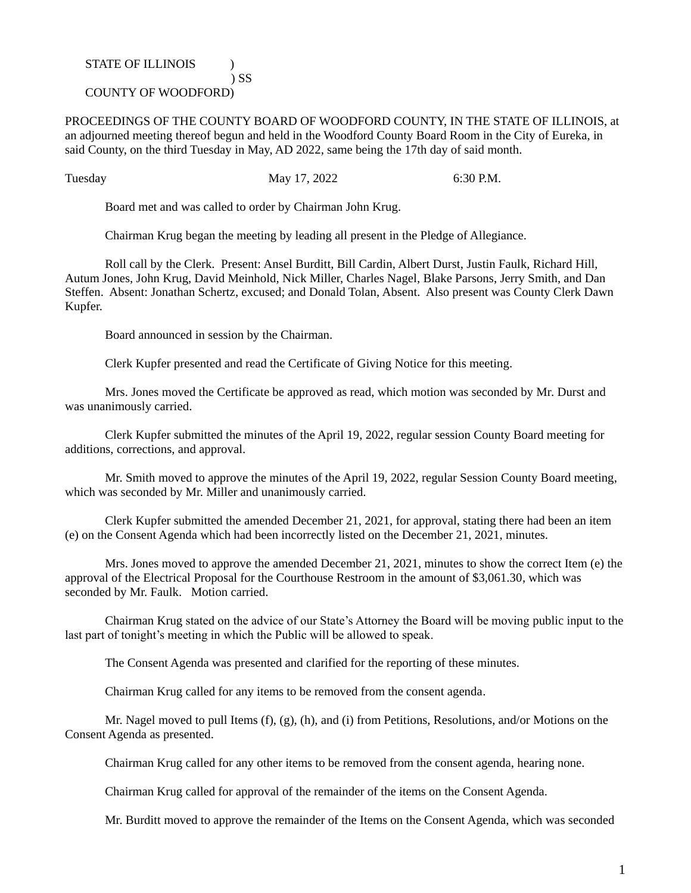## STATE OF ILLINOIS  $\qquad$  ) ) SS

## COUNTY OF WOODFORD)

PROCEEDINGS OF THE COUNTY BOARD OF WOODFORD COUNTY, IN THE STATE OF ILLINOIS, at an adjourned meeting thereof begun and held in the Woodford County Board Room in the City of Eureka, in said County, on the third Tuesday in May, AD 2022, same being the 17th day of said month.

Tuesday May 17, 2022 6:30 P.M.

Board met and was called to order by Chairman John Krug.

Chairman Krug began the meeting by leading all present in the Pledge of Allegiance.

Roll call by the Clerk. Present: Ansel Burditt, Bill Cardin, Albert Durst, Justin Faulk, Richard Hill, Autum Jones, John Krug, David Meinhold, Nick Miller, Charles Nagel, Blake Parsons, Jerry Smith, and Dan Steffen. Absent: Jonathan Schertz, excused; and Donald Tolan, Absent. Also present was County Clerk Dawn Kupfer.

Board announced in session by the Chairman.

Clerk Kupfer presented and read the Certificate of Giving Notice for this meeting.

Mrs. Jones moved the Certificate be approved as read, which motion was seconded by Mr. Durst and was unanimously carried.

Clerk Kupfer submitted the minutes of the April 19, 2022, regular session County Board meeting for additions, corrections, and approval.

Mr. Smith moved to approve the minutes of the April 19, 2022, regular Session County Board meeting, which was seconded by Mr. Miller and unanimously carried.

Clerk Kupfer submitted the amended December 21, 2021, for approval, stating there had been an item (e) on the Consent Agenda which had been incorrectly listed on the December 21, 2021, minutes.

Mrs. Jones moved to approve the amended December 21, 2021, minutes to show the correct Item (e) the approval of the Electrical Proposal for the Courthouse Restroom in the amount of \$3,061.30, which was seconded by Mr. Faulk. Motion carried.

Chairman Krug stated on the advice of our State's Attorney the Board will be moving public input to the last part of tonight's meeting in which the Public will be allowed to speak.

The Consent Agenda was presented and clarified for the reporting of these minutes.

Chairman Krug called for any items to be removed from the consent agenda.

Mr. Nagel moved to pull Items (f), (g), (h), and (i) from Petitions, Resolutions, and/or Motions on the Consent Agenda as presented.

Chairman Krug called for any other items to be removed from the consent agenda, hearing none.

Chairman Krug called for approval of the remainder of the items on the Consent Agenda.

Mr. Burditt moved to approve the remainder of the Items on the Consent Agenda, which was seconded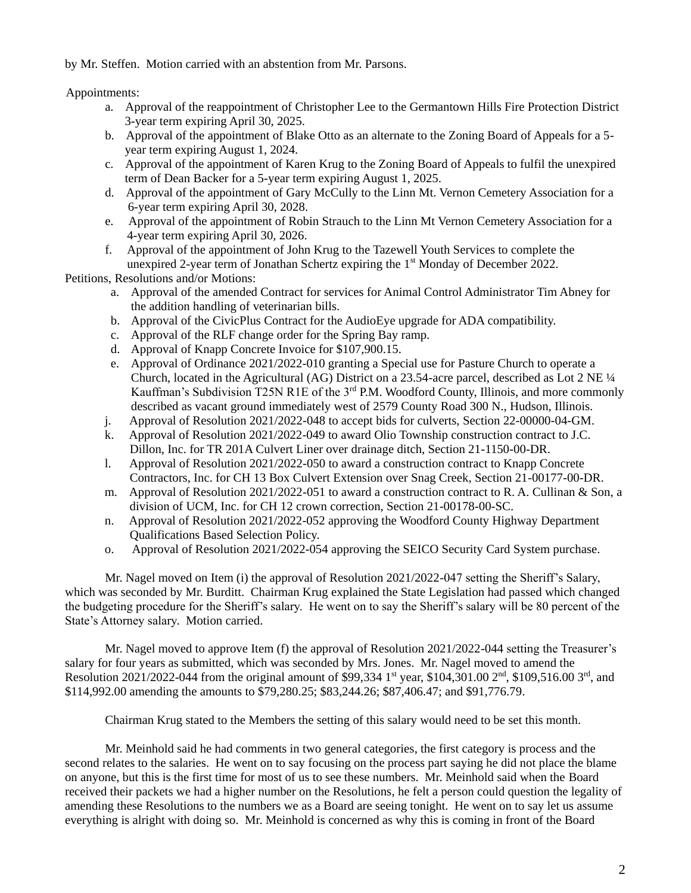by Mr. Steffen. Motion carried with an abstention from Mr. Parsons.

## Appointments:

- a. Approval of the reappointment of Christopher Lee to the Germantown Hills Fire Protection District 3-year term expiring April 30, 2025.
- b. Approval of the appointment of Blake Otto as an alternate to the Zoning Board of Appeals for a 5 year term expiring August 1, 2024.
- c. Approval of the appointment of Karen Krug to the Zoning Board of Appeals to fulfil the unexpired term of Dean Backer for a 5-year term expiring August 1, 2025.
- d. Approval of the appointment of Gary McCully to the Linn Mt. Vernon Cemetery Association for a 6-year term expiring April 30, 2028.
- e. Approval of the appointment of Robin Strauch to the Linn Mt Vernon Cemetery Association for a 4-year term expiring April 30, 2026.
- f. Approval of the appointment of John Krug to the Tazewell Youth Services to complete the unexpired 2-year term of Jonathan Schertz expiring the 1<sup>st</sup> Monday of December 2022.

Petitions, Resolutions and/or Motions:

- a. Approval of the amended Contract for services for Animal Control Administrator Tim Abney for the addition handling of veterinarian bills.
- b. Approval of the CivicPlus Contract for the AudioEye upgrade for ADA compatibility.
- c. Approval of the RLF change order for the Spring Bay ramp.
- d. Approval of Knapp Concrete Invoice for \$107,900.15.
- e. Approval of Ordinance 2021/2022-010 granting a Special use for Pasture Church to operate a Church, located in the Agricultural (AG) District on a 23.54-acre parcel, described as Lot 2 NE ¼ Kauffman's Subdivision T25N R1E of the 3<sup>rd</sup> P.M. Woodford County, Illinois, and more commonly described as vacant ground immediately west of 2579 County Road 300 N., Hudson, Illinois.
- j. Approval of Resolution 2021/2022-048 to accept bids for culverts, Section 22-00000-04-GM.
- k. Approval of Resolution 2021/2022-049 to award Olio Township construction contract to J.C. Dillon, Inc. for TR 201A Culvert Liner over drainage ditch, Section 21-1150-00-DR.
- l. Approval of Resolution 2021/2022-050 to award a construction contract to Knapp Concrete Contractors, Inc. for CH 13 Box Culvert Extension over Snag Creek, Section 21-00177-00-DR.
- m. Approval of Resolution 2021/2022-051 to award a construction contract to R. A. Cullinan & Son, a division of UCM, Inc. for CH 12 crown correction, Section 21-00178-00-SC.
- n. Approval of Resolution 2021/2022-052 approving the Woodford County Highway Department Qualifications Based Selection Policy.
- o. Approval of Resolution 2021/2022-054 approving the SEICO Security Card System purchase.

Mr. Nagel moved on Item (i) the approval of Resolution 2021/2022-047 setting the Sheriff's Salary, which was seconded by Mr. Burditt. Chairman Krug explained the State Legislation had passed which changed the budgeting procedure for the Sheriff's salary. He went on to say the Sheriff's salary will be 80 percent of the State's Attorney salary. Motion carried.

Mr. Nagel moved to approve Item (f) the approval of Resolution 2021/2022-044 setting the Treasurer's salary for four years as submitted, which was seconded by Mrs. Jones. Mr. Nagel moved to amend the Resolution 2021/2022-044 from the original amount of \$99,334 1<sup>st</sup> year, \$104,301.00 2<sup>nd</sup>, \$109,516.00 3<sup>rd</sup>, and \$114,992.00 amending the amounts to \$79,280.25; \$83,244.26; \$87,406.47; and \$91,776.79.

Chairman Krug stated to the Members the setting of this salary would need to be set this month.

Mr. Meinhold said he had comments in two general categories, the first category is process and the second relates to the salaries. He went on to say focusing on the process part saying he did not place the blame on anyone, but this is the first time for most of us to see these numbers. Mr. Meinhold said when the Board received their packets we had a higher number on the Resolutions, he felt a person could question the legality of amending these Resolutions to the numbers we as a Board are seeing tonight. He went on to say let us assume everything is alright with doing so. Mr. Meinhold is concerned as why this is coming in front of the Board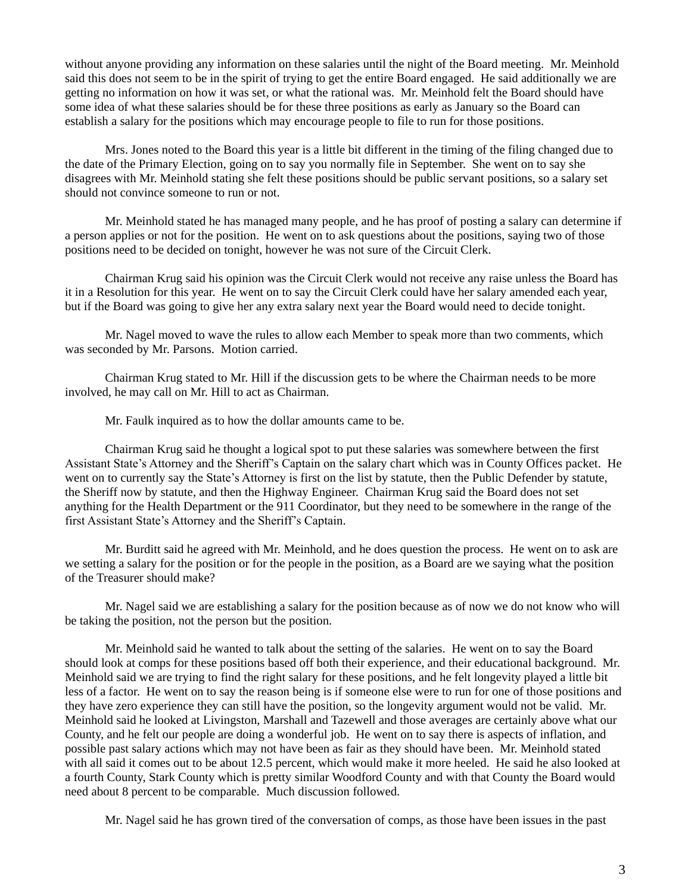without anyone providing any information on these salaries until the night of the Board meeting. Mr. Meinhold said this does not seem to be in the spirit of trying to get the entire Board engaged. He said additionally we are getting no information on how it was set, or what the rational was. Mr. Meinhold felt the Board should have some idea of what these salaries should be for these three positions as early as January so the Board can establish a salary for the positions which may encourage people to file to run for those positions.

Mrs. Jones noted to the Board this year is a little bit different in the timing of the filing changed due to the date of the Primary Election, going on to say you normally file in September. She went on to say she disagrees with Mr. Meinhold stating she felt these positions should be public servant positions, so a salary set should not convince someone to run or not.

Mr. Meinhold stated he has managed many people, and he has proof of posting a salary can determine if a person applies or not for the position. He went on to ask questions about the positions, saying two of those positions need to be decided on tonight, however he was not sure of the Circuit Clerk.

Chairman Krug said his opinion was the Circuit Clerk would not receive any raise unless the Board has it in a Resolution for this year. He went on to say the Circuit Clerk could have her salary amended each year, but if the Board was going to give her any extra salary next year the Board would need to decide tonight.

Mr. Nagel moved to wave the rules to allow each Member to speak more than two comments, which was seconded by Mr. Parsons. Motion carried.

Chairman Krug stated to Mr. Hill if the discussion gets to be where the Chairman needs to be more involved, he may call on Mr. Hill to act as Chairman.

Mr. Faulk inquired as to how the dollar amounts came to be.

Chairman Krug said he thought a logical spot to put these salaries was somewhere between the first Assistant State's Attorney and the Sheriff's Captain on the salary chart which was in County Offices packet. He went on to currently say the State's Attorney is first on the list by statute, then the Public Defender by statute, the Sheriff now by statute, and then the Highway Engineer. Chairman Krug said the Board does not set anything for the Health Department or the 911 Coordinator, but they need to be somewhere in the range of the first Assistant State's Attorney and the Sheriff's Captain.

Mr. Burditt said he agreed with Mr. Meinhold, and he does question the process. He went on to ask are we setting a salary for the position or for the people in the position, as a Board are we saying what the position of the Treasurer should make?

Mr. Nagel said we are establishing a salary for the position because as of now we do not know who will be taking the position, not the person but the position.

Mr. Meinhold said he wanted to talk about the setting of the salaries. He went on to say the Board should look at comps for these positions based off both their experience, and their educational background. Mr. Meinhold said we are trying to find the right salary for these positions, and he felt longevity played a little bit less of a factor. He went on to say the reason being is if someone else were to run for one of those positions and they have zero experience they can still have the position, so the longevity argument would not be valid. Mr. Meinhold said he looked at Livingston, Marshall and Tazewell and those averages are certainly above what our County, and he felt our people are doing a wonderful job. He went on to say there is aspects of inflation, and possible past salary actions which may not have been as fair as they should have been. Mr. Meinhold stated with all said it comes out to be about 12.5 percent, which would make it more heeled. He said he also looked at a fourth County, Stark County which is pretty similar Woodford County and with that County the Board would need about 8 percent to be comparable. Much discussion followed.

Mr. Nagel said he has grown tired of the conversation of comps, as those have been issues in the past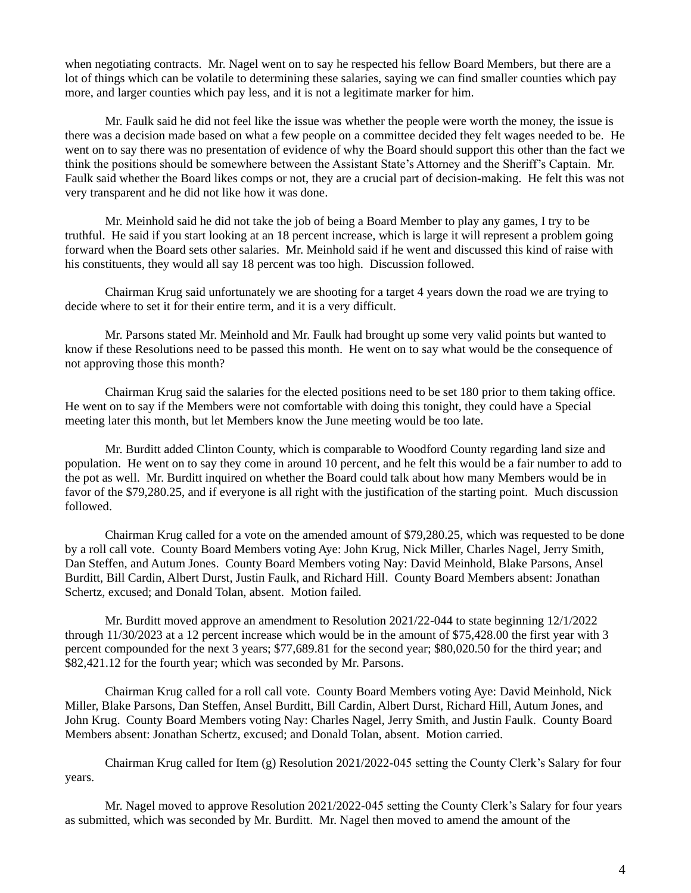when negotiating contracts. Mr. Nagel went on to say he respected his fellow Board Members, but there are a lot of things which can be volatile to determining these salaries, saying we can find smaller counties which pay more, and larger counties which pay less, and it is not a legitimate marker for him.

Mr. Faulk said he did not feel like the issue was whether the people were worth the money, the issue is there was a decision made based on what a few people on a committee decided they felt wages needed to be. He went on to say there was no presentation of evidence of why the Board should support this other than the fact we think the positions should be somewhere between the Assistant State's Attorney and the Sheriff's Captain. Mr. Faulk said whether the Board likes comps or not, they are a crucial part of decision-making. He felt this was not very transparent and he did not like how it was done.

Mr. Meinhold said he did not take the job of being a Board Member to play any games, I try to be truthful. He said if you start looking at an 18 percent increase, which is large it will represent a problem going forward when the Board sets other salaries. Mr. Meinhold said if he went and discussed this kind of raise with his constituents, they would all say 18 percent was too high. Discussion followed.

Chairman Krug said unfortunately we are shooting for a target 4 years down the road we are trying to decide where to set it for their entire term, and it is a very difficult.

Mr. Parsons stated Mr. Meinhold and Mr. Faulk had brought up some very valid points but wanted to know if these Resolutions need to be passed this month. He went on to say what would be the consequence of not approving those this month?

Chairman Krug said the salaries for the elected positions need to be set 180 prior to them taking office. He went on to say if the Members were not comfortable with doing this tonight, they could have a Special meeting later this month, but let Members know the June meeting would be too late.

Mr. Burditt added Clinton County, which is comparable to Woodford County regarding land size and population. He went on to say they come in around 10 percent, and he felt this would be a fair number to add to the pot as well. Mr. Burditt inquired on whether the Board could talk about how many Members would be in favor of the \$79,280.25, and if everyone is all right with the justification of the starting point. Much discussion followed.

Chairman Krug called for a vote on the amended amount of \$79,280.25, which was requested to be done by a roll call vote. County Board Members voting Aye: John Krug, Nick Miller, Charles Nagel, Jerry Smith, Dan Steffen, and Autum Jones. County Board Members voting Nay: David Meinhold, Blake Parsons, Ansel Burditt, Bill Cardin, Albert Durst, Justin Faulk, and Richard Hill. County Board Members absent: Jonathan Schertz, excused; and Donald Tolan, absent. Motion failed.

Mr. Burditt moved approve an amendment to Resolution 2021/22-044 to state beginning 12/1/2022 through 11/30/2023 at a 12 percent increase which would be in the amount of \$75,428.00 the first year with 3 percent compounded for the next 3 years; \$77,689.81 for the second year; \$80,020.50 for the third year; and \$82,421.12 for the fourth year; which was seconded by Mr. Parsons.

Chairman Krug called for a roll call vote. County Board Members voting Aye: David Meinhold, Nick Miller, Blake Parsons, Dan Steffen, Ansel Burditt, Bill Cardin, Albert Durst, Richard Hill, Autum Jones, and John Krug. County Board Members voting Nay: Charles Nagel, Jerry Smith, and Justin Faulk. County Board Members absent: Jonathan Schertz, excused; and Donald Tolan, absent. Motion carried.

Chairman Krug called for Item (g) Resolution 2021/2022-045 setting the County Clerk's Salary for four years.

Mr. Nagel moved to approve Resolution 2021/2022-045 setting the County Clerk's Salary for four years as submitted, which was seconded by Mr. Burditt. Mr. Nagel then moved to amend the amount of the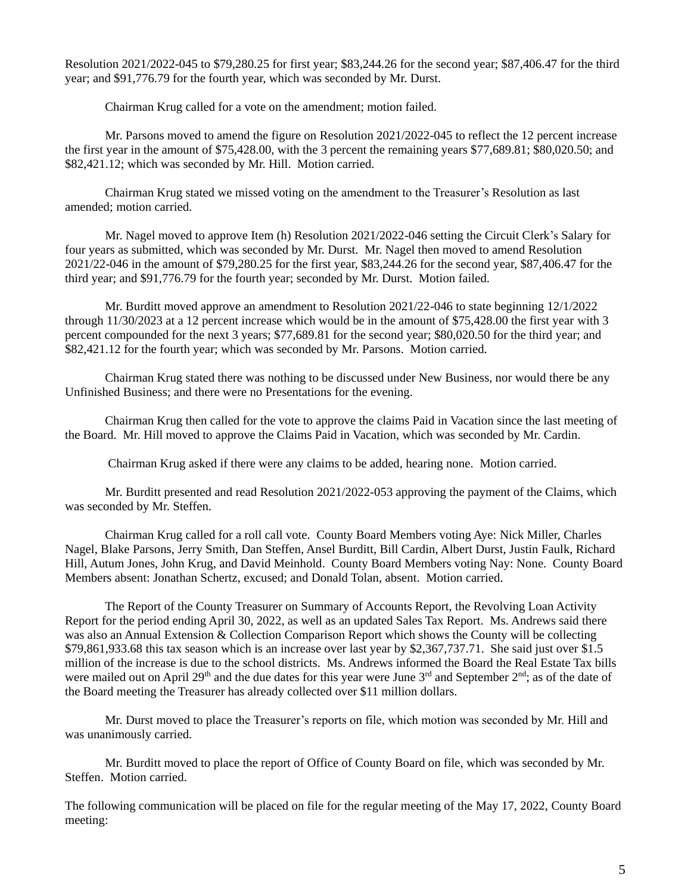Resolution 2021/2022-045 to \$79,280.25 for first year; \$83,244.26 for the second year; \$87,406.47 for the third year; and \$91,776.79 for the fourth year, which was seconded by Mr. Durst.

Chairman Krug called for a vote on the amendment; motion failed.

Mr. Parsons moved to amend the figure on Resolution 2021/2022-045 to reflect the 12 percent increase the first year in the amount of \$75,428.00, with the 3 percent the remaining years \$77,689.81; \$80,020.50; and \$82,421.12; which was seconded by Mr. Hill. Motion carried.

Chairman Krug stated we missed voting on the amendment to the Treasurer's Resolution as last amended; motion carried.

Mr. Nagel moved to approve Item (h) Resolution 2021/2022-046 setting the Circuit Clerk's Salary for four years as submitted, which was seconded by Mr. Durst. Mr. Nagel then moved to amend Resolution 2021/22-046 in the amount of \$79,280.25 for the first year, \$83,244.26 for the second year, \$87,406.47 for the third year; and \$91,776.79 for the fourth year; seconded by Mr. Durst. Motion failed.

Mr. Burditt moved approve an amendment to Resolution 2021/22-046 to state beginning 12/1/2022 through 11/30/2023 at a 12 percent increase which would be in the amount of \$75,428.00 the first year with 3 percent compounded for the next 3 years; \$77,689.81 for the second year; \$80,020.50 for the third year; and \$82,421.12 for the fourth year; which was seconded by Mr. Parsons. Motion carried.

Chairman Krug stated there was nothing to be discussed under New Business, nor would there be any Unfinished Business; and there were no Presentations for the evening.

Chairman Krug then called for the vote to approve the claims Paid in Vacation since the last meeting of the Board. Mr. Hill moved to approve the Claims Paid in Vacation, which was seconded by Mr. Cardin.

Chairman Krug asked if there were any claims to be added, hearing none. Motion carried.

Mr. Burditt presented and read Resolution 2021/2022-053 approving the payment of the Claims, which was seconded by Mr. Steffen.

Chairman Krug called for a roll call vote. County Board Members voting Aye: Nick Miller, Charles Nagel, Blake Parsons, Jerry Smith, Dan Steffen, Ansel Burditt, Bill Cardin, Albert Durst, Justin Faulk, Richard Hill, Autum Jones, John Krug, and David Meinhold. County Board Members voting Nay: None. County Board Members absent: Jonathan Schertz, excused; and Donald Tolan, absent. Motion carried.

The Report of the County Treasurer on Summary of Accounts Report, the Revolving Loan Activity Report for the period ending April 30, 2022, as well as an updated Sales Tax Report. Ms. Andrews said there was also an Annual Extension & Collection Comparison Report which shows the County will be collecting \$79,861,933.68 this tax season which is an increase over last year by \$2,367,737.71. She said just over \$1.5 million of the increase is due to the school districts. Ms. Andrews informed the Board the Real Estate Tax bills were mailed out on April 29<sup>th</sup> and the due dates for this year were June 3<sup>rd</sup> and September 2<sup>nd</sup>; as of the date of the Board meeting the Treasurer has already collected over \$11 million dollars.

Mr. Durst moved to place the Treasurer's reports on file, which motion was seconded by Mr. Hill and was unanimously carried.

Mr. Burditt moved to place the report of Office of County Board on file, which was seconded by Mr. Steffen. Motion carried.

The following communication will be placed on file for the regular meeting of the May 17, 2022, County Board meeting: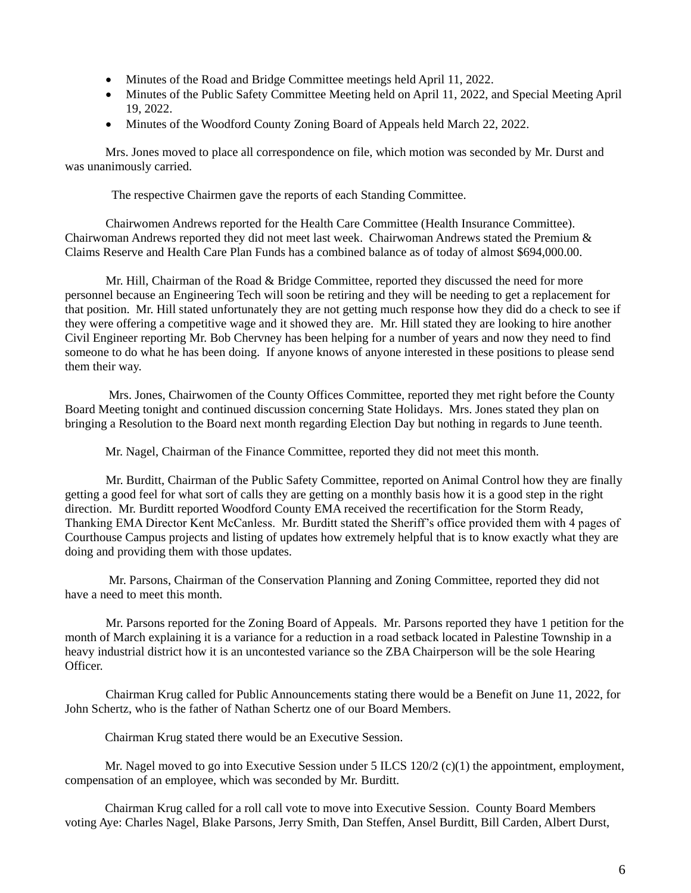- Minutes of the Road and Bridge Committee meetings held April 11, 2022.
- Minutes of the Public Safety Committee Meeting held on April 11, 2022, and Special Meeting April 19, 2022.
- Minutes of the Woodford County Zoning Board of Appeals held March 22, 2022.

 Mrs. Jones moved to place all correspondence on file, which motion was seconded by Mr. Durst and was unanimously carried.

The respective Chairmen gave the reports of each Standing Committee.

Chairwomen Andrews reported for the Health Care Committee (Health Insurance Committee). Chairwoman Andrews reported they did not meet last week. Chairwoman Andrews stated the Premium & Claims Reserve and Health Care Plan Funds has a combined balance as of today of almost \$694,000.00.

Mr. Hill, Chairman of the Road & Bridge Committee, reported they discussed the need for more personnel because an Engineering Tech will soon be retiring and they will be needing to get a replacement for that position. Mr. Hill stated unfortunately they are not getting much response how they did do a check to see if they were offering a competitive wage and it showed they are. Mr. Hill stated they are looking to hire another Civil Engineer reporting Mr. Bob Chervney has been helping for a number of years and now they need to find someone to do what he has been doing. If anyone knows of anyone interested in these positions to please send them their way.

Mrs. Jones, Chairwomen of the County Offices Committee, reported they met right before the County Board Meeting tonight and continued discussion concerning State Holidays. Mrs. Jones stated they plan on bringing a Resolution to the Board next month regarding Election Day but nothing in regards to June teenth.

Mr. Nagel, Chairman of the Finance Committee, reported they did not meet this month.

Mr. Burditt, Chairman of the Public Safety Committee, reported on Animal Control how they are finally getting a good feel for what sort of calls they are getting on a monthly basis how it is a good step in the right direction. Mr. Burditt reported Woodford County EMA received the recertification for the Storm Ready, Thanking EMA Director Kent McCanless. Mr. Burditt stated the Sheriff's office provided them with 4 pages of Courthouse Campus projects and listing of updates how extremely helpful that is to know exactly what they are doing and providing them with those updates.

Mr. Parsons, Chairman of the Conservation Planning and Zoning Committee, reported they did not have a need to meet this month.

Mr. Parsons reported for the Zoning Board of Appeals. Mr. Parsons reported they have 1 petition for the month of March explaining it is a variance for a reduction in a road setback located in Palestine Township in a heavy industrial district how it is an uncontested variance so the ZBA Chairperson will be the sole Hearing Officer.

Chairman Krug called for Public Announcements stating there would be a Benefit on June 11, 2022, for John Schertz, who is the father of Nathan Schertz one of our Board Members.

Chairman Krug stated there would be an Executive Session.

Mr. Nagel moved to go into Executive Session under 5 ILCS 120/2 (c)(1) the appointment, employment, compensation of an employee, which was seconded by Mr. Burditt.

Chairman Krug called for a roll call vote to move into Executive Session. County Board Members voting Aye: Charles Nagel, Blake Parsons, Jerry Smith, Dan Steffen, Ansel Burditt, Bill Carden, Albert Durst,